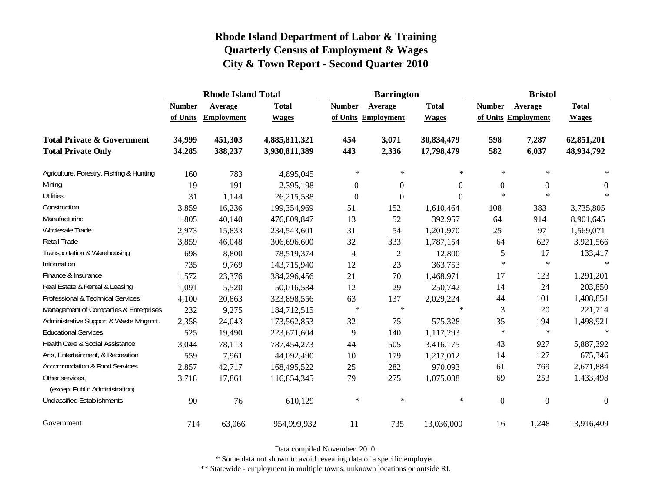|                                                   |               | <b>Rhode Island Total</b> |               |                     | <b>Barrington</b> |              | <b>Bristol</b>   |                     |                  |
|---------------------------------------------------|---------------|---------------------------|---------------|---------------------|-------------------|--------------|------------------|---------------------|------------------|
|                                                   | <b>Number</b> | Average                   | <b>Total</b>  | <b>Number</b>       | Average           | <b>Total</b> | <b>Number</b>    | Average             | <b>Total</b>     |
|                                                   | of Units      | <b>Employment</b>         | <b>Wages</b>  | of Units Employment |                   | <b>Wages</b> |                  | of Units Employment | <b>Wages</b>     |
| <b>Total Private &amp; Government</b>             | 34,999        | 451,303                   | 4,885,811,321 | 454                 | 3,071             | 30,834,479   | 598              | 7,287               | 62,851,201       |
| <b>Total Private Only</b>                         | 34,285        | 388,237                   | 3,930,811,389 | 443                 | 2,336             | 17,798,479   | 582              | 6,037               | 48,934,792       |
| Agriculture, Forestry, Fishing & Hunting          | 160           | 783                       | 4,895,045     | $\ast$              | $\ast$            | $\ast$       | $\ast$           | $\ast$              | $\ast$           |
| Mining                                            | 19            | 191                       | 2,395,198     | $\boldsymbol{0}$    | $\mathbf{0}$      | $\Omega$     | $\boldsymbol{0}$ | $\boldsymbol{0}$    | $\overline{0}$   |
| <b>Utilities</b>                                  | 31            | 1,144                     | 26,215,538    | $\boldsymbol{0}$    | $\boldsymbol{0}$  | $\Omega$     | $\ast$           | $\ast$              | $\ast$           |
| Construction                                      | 3,859         | 16,236                    | 199,354,969   | 51                  | 152               | 1,610,464    | 108              | 383                 | 3,735,805        |
| Manufacturing                                     | 1,805         | 40,140                    | 476,809,847   | 13                  | 52                | 392,957      | 64               | 914                 | 8,901,645        |
| Wholesale Trade                                   | 2,973         | 15,833                    | 234,543,601   | 31                  | 54                | 1,201,970    | 25               | 97                  | 1,569,071        |
| Retail Trade                                      | 3,859         | 46,048                    | 306,696,600   | 32                  | 333               | 1,787,154    | 64               | 627                 | 3,921,566        |
| Transportation & Warehousing                      | 698           | 8,800                     | 78,519,374    | $\overline{4}$      | $\overline{c}$    | 12,800       | 5                | 17                  | 133,417          |
| Information                                       | 735           | 9,769                     | 143,715,940   | 12                  | 23                | 363,753      | $\ast$           | $\ast$              | $\ast$           |
| Finance & Insurance                               | 1,572         | 23,376                    | 384,296,456   | 21                  | 70                | 1,468,971    | 17               | 123                 | 1,291,201        |
| Real Estate & Rental & Leasing                    | 1,091         | 5,520                     | 50,016,534    | 12                  | 29                | 250,742      | 14               | 24                  | 203,850          |
| Professional & Technical Services                 | 4,100         | 20,863                    | 323,898,556   | 63                  | 137               | 2,029,224    | 44               | 101                 | 1,408,851        |
| Management of Companies & Enterprises             | 232           | 9,275                     | 184,712,515   | $\ast$              | $\star$           | $\star$      | 3                | 20                  | 221,714          |
| Administrative Support & Waste Mngmnt.            | 2,358         | 24,043                    | 173,562,853   | 32                  | 75                | 575,328      | 35               | 194                 | 1,498,921        |
| <b>Educational Services</b>                       | 525           | 19,490                    | 223,671,604   | 9                   | 140               | 1,117,293    | $\ast$           | $\ast$              | $\ast$           |
| Health Care & Social Assistance                   | 3,044         | 78,113                    | 787,454,273   | 44                  | 505               | 3,416,175    | 43               | 927                 | 5,887,392        |
| Arts, Entertainment, & Recreation                 | 559           | 7,961                     | 44,092,490    | 10                  | 179               | 1,217,012    | 14               | 127                 | 675,346          |
| <b>Accommodation &amp; Food Services</b>          | 2,857         | 42,717                    | 168,495,522   | 25                  | 282               | 970,093      | 61               | 769                 | 2,671,884        |
| Other services,<br>(except Public Administration) | 3,718         | 17,861                    | 116,854,345   | 79                  | 275               | 1,075,038    | 69               | 253                 | 1,433,498        |
| <b>Unclassified Establishments</b>                | 90            | 76                        | 610,129       | $\ast$              | $\star$           | $\ast$       | $\overline{0}$   | $\mathbf{0}$        | $\boldsymbol{0}$ |
| Government                                        | 714           | 63,066                    | 954,999,932   | 11                  | 735               | 13,036,000   | 16               | 1,248               | 13,916,409       |

Data compiled November 2010.

\* Some data not shown to avoid revealing data of a specific employer.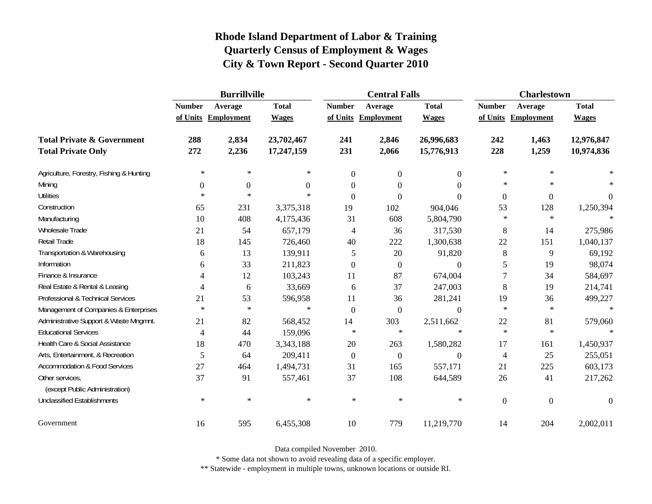|                                                   | <b>Burrillville</b> |                     |              |                | <b>Central Falls</b> |                  | <b>Charlestown</b> |                     |              |
|---------------------------------------------------|---------------------|---------------------|--------------|----------------|----------------------|------------------|--------------------|---------------------|--------------|
|                                                   | <b>Number</b>       | Average             | <b>Total</b> | <b>Number</b>  | Average              | <b>Total</b>     | <b>Number</b>      | Average             | <b>Total</b> |
|                                                   |                     | of Units Employment | <b>Wages</b> |                | of Units Employment  | <b>Wages</b>     |                    | of Units Employment | <b>Wages</b> |
| <b>Total Private &amp; Government</b>             | 288                 | 2,834               | 23,702,467   | 241            | 2,846                | 26,996,683       | 242                | 1,463               | 12,976,847   |
| <b>Total Private Only</b>                         | 272                 | 2,236               | 17,247,159   | 231            | 2,066                | 15,776,913       | 228                | 1,259               | 10,974,836   |
| Agriculture, Forestry, Fishing & Hunting          | $\ast$              | ∗                   | $\ast$       | $\mathbf{0}$   | $\mathbf{0}$         | $\overline{0}$   | $\ast$             | $\ast$              |              |
| Mining                                            | $\boldsymbol{0}$    | $\boldsymbol{0}$    | $\Omega$     | $\theta$       | $\Omega$             | $\Omega$         | $\ast$             | $\ast$              |              |
| <b>Utilities</b>                                  | $\ast$              | $\ast$              | $\ast$       | $\Omega$       | $\Omega$             | $\theta$         | $\boldsymbol{0}$   | $\boldsymbol{0}$    | $\theta$     |
| Construction                                      | 65                  | 231                 | 3,375,318    | 19             | 102                  | 904,046          | 53                 | 128                 | 1,250,394    |
| Manufacturing                                     | 10                  | 408                 | 4,175,436    | 31             | 608                  | 5,804,790        | $\ast$             | $\ast$              | $\ast$       |
| Wholesale Trade                                   | 21                  | 54                  | 657,179      | $\overline{4}$ | 36                   | 317,530          | 8                  | 14                  | 275,986      |
| Retail Trade                                      | 18                  | 145                 | 726,460      | 40             | 222                  | 1,300,638        | 22                 | 151                 | 1,040,137    |
| Transportation & Warehousing                      | 6                   | 13                  | 139,911      | 5              | 20                   | 91,820           | $\,8\,$            | 9                   | 69,192       |
| Information                                       | 6                   | 33                  | 211,823      | $\overline{0}$ | $\overline{0}$       | $\theta$         | 5                  | 19                  | 98,074       |
| Finance & Insurance                               | 4                   | 12                  | 103,243      | 11             | 87                   | 674,004          | $\overline{7}$     | 34                  | 584,697      |
| Real Estate & Rental & Leasing                    | 4                   | 6                   | 33,669       | 6              | 37                   | 247,003          | 8                  | 19                  | 214,741      |
| Professional & Technical Services                 | 21                  | 53                  | 596,958      | 11             | 36                   | 281,241          | 19                 | 36                  | 499,227      |
| Management of Companies & Enterprises             | $\ast$              | $\ast$              | $\ast$       | $\Omega$       | $\boldsymbol{0}$     | $\theta$         | $\ast$             | $\ast$              | $\ast$       |
| Administrative Support & Waste Mngmnt.            | 21                  | 82                  | 568,452      | 14             | 303                  | 2,511,662        | 22                 | 81                  | 579,060      |
| <b>Educational Services</b>                       | $\overline{4}$      | 44                  | 159,096      | $\ast$         | $\ast$               | $\ast$           | $\ast$             | $\ast$              |              |
| Health Care & Social Assistance                   | 18                  | 470                 | 3,343,188    | 20             | 263                  | 1,580,282        | 17                 | 161                 | 1,450,937    |
| Arts, Entertainment, & Recreation                 | 5                   | 64                  | 209,411      | $\mathbf{0}$   | $\boldsymbol{0}$     | $\boldsymbol{0}$ | $\overline{4}$     | 25                  | 255,051      |
| <b>Accommodation &amp; Food Services</b>          | 27                  | 464                 | 1,494,731    | 31             | 165                  | 557,171          | 21                 | 225                 | 603,173      |
| Other services,<br>(except Public Administration) | 37                  | 91                  | 557,461      | 37             | 108                  | 644,589          | 26                 | 41                  | 217,262      |
| <b>Unclassified Establishments</b>                | $\ast$              | $\ast$              | $\ast$       | $\ast$         | $\ast$               | $\ast$           | $\boldsymbol{0}$   | $\mathbf{0}$        | $\theta$     |
| Government                                        | 16                  | 595                 | 6,455,308    | 10             | 779                  | 11,219,770       | 14                 | 204                 | 2,002,011    |

Data compiled November 2010.

\* Some data not shown to avoid revealing data of a specific employer.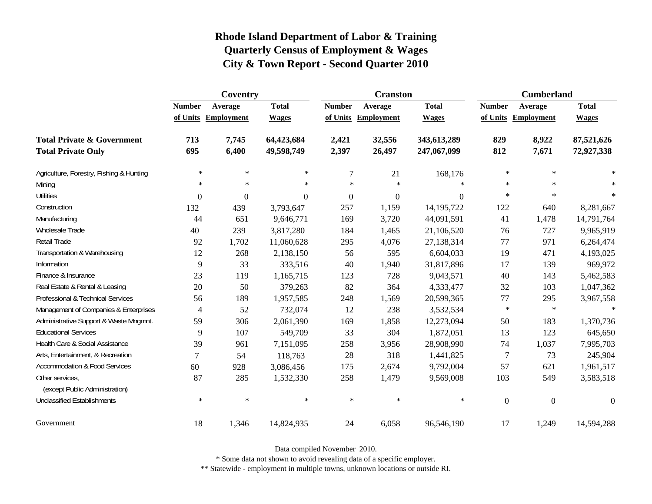|                                                   | Coventry       |                     |              |                | <b>Cranston</b>     |              | <b>Cumberland</b> |                     |              |
|---------------------------------------------------|----------------|---------------------|--------------|----------------|---------------------|--------------|-------------------|---------------------|--------------|
|                                                   | <b>Number</b>  | Average             | <b>Total</b> | <b>Number</b>  | Average             | <b>Total</b> | <b>Number</b>     | Average             | <b>Total</b> |
|                                                   |                | of Units Employment | <b>Wages</b> |                | of Units Employment | <b>Wages</b> |                   | of Units Employment | <b>Wages</b> |
| <b>Total Private &amp; Government</b>             | 713            | 7,745               | 64,423,684   | 2,421          | 32,556              | 343,613,289  | 829               | 8,922               | 87,521,626   |
| <b>Total Private Only</b>                         | 695            | 6,400               | 49,598,749   | 2,397          | 26,497              | 247,067,099  | 812               | 7,671               | 72,927,338   |
| Agriculture, Forestry, Fishing & Hunting          | $\ast$         | $\ast$              | $\ast$       | $\overline{7}$ | 21                  | 168,176      | $\ast$            | $\ast$              |              |
| Mining                                            | $\ast$         | $\ast$              | $\ast$       | $\star$        | $\ast$              | $\ast$       | $\ast$            | $\ast$              |              |
| <b>Utilities</b>                                  | $\overline{0}$ | $\mathbf{0}$        | $\mathbf{0}$ | $\overline{0}$ | $\boldsymbol{0}$    | $\Omega$     | $\ast$            | $\ast$              | $\ast$       |
| Construction                                      | 132            | 439                 | 3,793,647    | 257            | 1,159               | 14, 195, 722 | 122               | 640                 | 8,281,667    |
| Manufacturing                                     | 44             | 651                 | 9,646,771    | 169            | 3,720               | 44,091,591   | 41                | 1,478               | 14,791,764   |
| Wholesale Trade                                   | 40             | 239                 | 3,817,280    | 184            | 1,465               | 21,106,520   | 76                | 727                 | 9,965,919    |
| Retail Trade                                      | 92             | 1,702               | 11,060,628   | 295            | 4,076               | 27,138,314   | 77                | 971                 | 6,264,474    |
| Transportation & Warehousing                      | 12             | 268                 | 2,138,150    | 56             | 595                 | 6,604,033    | 19                | 471                 | 4,193,025    |
| Information                                       | 9              | 33                  | 333,516      | 40             | 1,940               | 31,817,896   | 17                | 139                 | 969,972      |
| Finance & Insurance                               | 23             | 119                 | 1,165,715    | 123            | 728                 | 9,043,571    | 40                | 143                 | 5,462,583    |
| Real Estate & Rental & Leasing                    | 20             | 50                  | 379,263      | 82             | 364                 | 4,333,477    | 32                | 103                 | 1,047,362    |
| Professional & Technical Services                 | 56             | 189                 | 1,957,585    | 248            | 1,569               | 20,599,365   | 77                | 295                 | 3,967,558    |
| Management of Companies & Enterprises             | 4              | 52                  | 732,074      | 12             | 238                 | 3,532,534    | $\ast$            | $\ast$              | $\ast$       |
| Administrative Support & Waste Mngmnt.            | 59             | 306                 | 2,061,390    | 169            | 1,858               | 12,273,094   | 50                | 183                 | 1,370,736    |
| <b>Educational Services</b>                       | 9              | 107                 | 549,709      | 33             | 304                 | 1,872,051    | 13                | 123                 | 645,650      |
| Health Care & Social Assistance                   | 39             | 961                 | 7,151,095    | 258            | 3,956               | 28,908,990   | 74                | 1,037               | 7,995,703    |
| Arts, Entertainment, & Recreation                 | $\tau$         | 54                  | 118,763      | 28             | 318                 | 1,441,825    | 7                 | 73                  | 245,904      |
| <b>Accommodation &amp; Food Services</b>          | 60             | 928                 | 3,086,456    | 175            | 2,674               | 9,792,004    | 57                | 621                 | 1,961,517    |
| Other services,<br>(except Public Administration) | 87             | 285                 | 1,532,330    | 258            | 1,479               | 9,569,008    | 103               | 549                 | 3,583,518    |
| <b>Unclassified Establishments</b>                | $\ast$         | $\ast$              | $\ast$       | $\ast$         | $\ast$              | $\ast$       | $\boldsymbol{0}$  | $\boldsymbol{0}$    | $\theta$     |
| Government                                        | 18             | 1,346               | 14,824,935   | 24             | 6,058               | 96,546,190   | 17                | 1,249               | 14,594,288   |

Data compiled November 2010.

\* Some data not shown to avoid revealing data of a specific employer.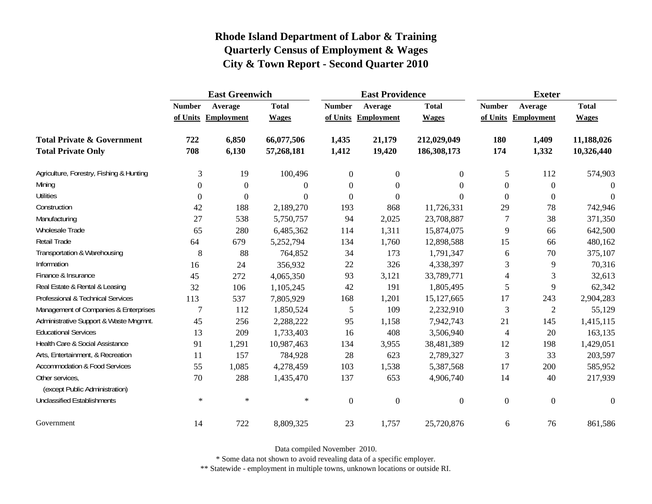|                                                   | <b>East Greenwich</b> |                     |              |                  | <b>East Providence</b> |                  | <b>Exeter</b>    |                     |              |
|---------------------------------------------------|-----------------------|---------------------|--------------|------------------|------------------------|------------------|------------------|---------------------|--------------|
|                                                   | <b>Number</b>         | Average             | <b>Total</b> | <b>Number</b>    | Average                | <b>Total</b>     | <b>Number</b>    | Average             | <b>Total</b> |
|                                                   |                       | of Units Employment | <b>Wages</b> |                  | of Units Employment    | <b>Wages</b>     |                  | of Units Employment | <b>Wages</b> |
| <b>Total Private &amp; Government</b>             | 722                   | 6,850               | 66,077,506   | 1,435            | 21,179                 | 212,029,049      | 180              | 1,409               | 11,188,026   |
| <b>Total Private Only</b>                         | 708                   | 6,130               | 57,268,181   | 1,412            | 19,420                 | 186,308,173      | 174              | 1,332               | 10,326,440   |
| Agriculture, Forestry, Fishing & Hunting          | 3                     | 19                  | 100,496      | $\boldsymbol{0}$ | $\boldsymbol{0}$       | $\overline{0}$   | 5                | 112                 | 574,903      |
| Mining                                            | $\Omega$              | $\mathbf{0}$        | $\Omega$     | $\overline{0}$   | $\overline{0}$         | $\Omega$         | $\boldsymbol{0}$ | $\mathbf{0}$        | $\Omega$     |
| <b>Utilities</b>                                  | $\boldsymbol{0}$      | $\theta$            | $\Omega$     | $\overline{0}$   | $\boldsymbol{0}$       | $\Omega$         | $\boldsymbol{0}$ | $\boldsymbol{0}$    | $\Omega$     |
| Construction                                      | 42                    | 188                 | 2,189,270    | 193              | 868                    | 11,726,331       | 29               | 78                  | 742,946      |
| Manufacturing                                     | 27                    | 538                 | 5,750,757    | 94               | 2,025                  | 23,708,887       | 7                | 38                  | 371,350      |
| Wholesale Trade                                   | 65                    | 280                 | 6,485,362    | 114              | 1,311                  | 15,874,075       | $\overline{9}$   | 66                  | 642,500      |
| <b>Retail Trade</b>                               | 64                    | 679                 | 5,252,794    | 134              | 1,760                  | 12,898,588       | 15               | 66                  | 480,162      |
| Transportation & Warehousing                      | 8                     | 88                  | 764,852      | 34               | 173                    | 1,791,347        | 6                | 70                  | 375,107      |
| Information                                       | 16                    | 24                  | 356,932      | 22               | 326                    | 4,338,397        | 3                | 9                   | 70,316       |
| Finance & Insurance                               | 45                    | 272                 | 4,065,350    | 93               | 3,121                  | 33,789,771       | $\overline{4}$   | 3                   | 32,613       |
| Real Estate & Rental & Leasing                    | 32                    | 106                 | 1,105,245    | 42               | 191                    | 1,805,495        | 5                | 9                   | 62,342       |
| Professional & Technical Services                 | 113                   | 537                 | 7,805,929    | 168              | 1,201                  | 15,127,665       | 17               | 243                 | 2,904,283    |
| Management of Companies & Enterprises             | $\overline{7}$        | 112                 | 1,850,524    | $\mathfrak{S}$   | 109                    | 2,232,910        | 3                | $\mathfrak{2}$      | 55,129       |
| Administrative Support & Waste Mngmnt.            | 45                    | 256                 | 2,288,222    | 95               | 1,158                  | 7,942,743        | 21               | 145                 | 1,415,115    |
| <b>Educational Services</b>                       | 13                    | 209                 | 1,733,403    | 16               | 408                    | 3,506,940        | $\overline{4}$   | 20                  | 163,135      |
| Health Care & Social Assistance                   | 91                    | 1,291               | 10,987,463   | 134              | 3,955                  | 38,481,389       | 12               | 198                 | 1,429,051    |
| Arts, Entertainment, & Recreation                 | 11                    | 157                 | 784,928      | 28               | 623                    | 2,789,327        | $\mathfrak{Z}$   | 33                  | 203,597      |
| <b>Accommodation &amp; Food Services</b>          | 55                    | 1,085               | 4,278,459    | 103              | 1,538                  | 5,387,568        | 17               | 200                 | 585,952      |
| Other services,<br>(except Public Administration) | 70                    | 288                 | 1,435,470    | 137              | 653                    | 4,906,740        | 14               | 40                  | 217,939      |
| <b>Unclassified Establishments</b>                | $\ast$                | $\ast$              | $\ast$       | $\boldsymbol{0}$ | $\boldsymbol{0}$       | $\boldsymbol{0}$ | $\boldsymbol{0}$ | $\boldsymbol{0}$    | $\theta$     |
| Government                                        | 14                    | 722                 | 8,809,325    | 23               | 1,757                  | 25,720,876       | 6                | 76                  | 861,586      |

Data compiled November 2010.

\* Some data not shown to avoid revealing data of a specific employer.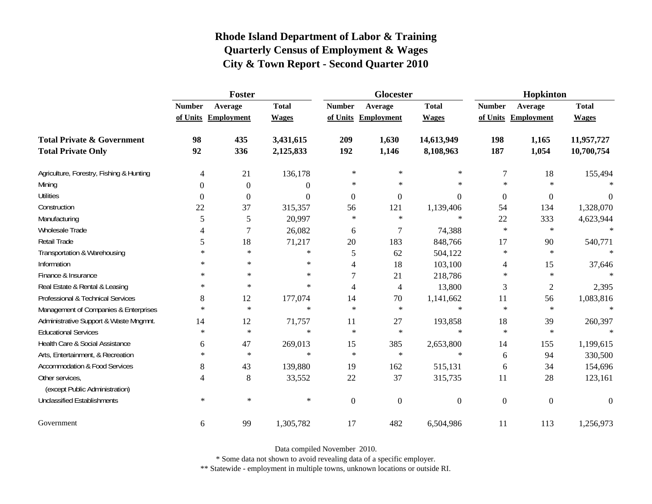|                                                   | Foster                   |                     |                |                | <b>Glocester</b>    |                | Hopkinton        |                     |              |
|---------------------------------------------------|--------------------------|---------------------|----------------|----------------|---------------------|----------------|------------------|---------------------|--------------|
|                                                   | <b>Number</b>            | Average             | <b>Total</b>   | <b>Number</b>  | Average             | <b>Total</b>   | <b>Number</b>    | Average             | <b>Total</b> |
|                                                   |                          | of Units Employment | <b>Wages</b>   |                | of Units Employment | <b>Wages</b>   |                  | of Units Employment | <b>Wages</b> |
| <b>Total Private &amp; Government</b>             | 98                       | 435                 | 3,431,615      | 209            | 1,630               | 14,613,949     | 198              | 1,165               | 11,957,727   |
| <b>Total Private Only</b>                         | 92                       | 336                 | 2,125,833      | 192            | 1,146               | 8,108,963      | 187              | 1,054               | 10,700,754   |
| Agriculture, Forestry, Fishing & Hunting          | $\overline{\mathcal{A}}$ | 21                  | 136,178        | $\ast$         | $\ast$              | ∗              | $\boldsymbol{7}$ | 18                  | 155,494      |
| Mining                                            | $\Omega$                 | $\boldsymbol{0}$    | $\overline{0}$ | $\ast$         | $\ast$              | $\ast$         | $\ast$           | $\ast$              |              |
| <b>Utilities</b>                                  | $\boldsymbol{0}$         | $\overline{0}$      | $\Omega$       | $\theta$       | $\overline{0}$      | $\overline{0}$ | $\boldsymbol{0}$ | $\boldsymbol{0}$    | $\theta$     |
| Construction                                      | 22                       | 37                  | 315,357        | 56             | 121                 | 1,139,406      | 54               | 134                 | 1,328,070    |
| Manufacturing                                     | 5                        | 5                   | 20,997         | $\ast$         | $\ast$              | $\ast$         | 22               | 333                 | 4,623,944    |
| Wholesale Trade                                   | 4                        | $\boldsymbol{7}$    | 26,082         | 6              | $\tau$              | 74,388         | $\ast$           | $\ast$              | $\ast$       |
| <b>Retail Trade</b>                               | 5                        | 18                  | 71,217         | 20             | 183                 | 848,766        | 17               | 90                  | 540,771      |
| Transportation & Warehousing                      | $\ast$                   | $\ast$              | $\ast$         | 5              | 62                  | 504,122        | $\ast$           | $\ast$              | $\ast$       |
| Information                                       | ∗                        | $\ast$              | $\ast$         | 4              | 18                  | 103,100        | 4                | 15                  | 37,646       |
| Finance & Insurance                               | $\ast$                   | $\ast$              | $\ast$         | 7              | 21                  | 218,786        | $\ast$           | $\star$             |              |
| Real Estate & Rental & Leasing                    | ∗                        | $\ast$              | $\ast$         | 4              | $\overline{4}$      | 13,800         | 3                | $\mathfrak{2}$      | 2,395        |
| Professional & Technical Services                 | 8                        | 12                  | 177,074        | 14             | 70                  | 1,141,662      | 11               | 56                  | 1,083,816    |
| Management of Companies & Enterprises             | $\ast$                   | $\ast$              | $\ast$         | $\star$        | $\ast$              | $\ast$         | $\ast$           | $\ast$              | $\star$      |
| Administrative Support & Waste Mngmnt.            | 14                       | 12                  | 71,757         | 11             | 27                  | 193,858        | 18               | 39                  | 260,397      |
| <b>Educational Services</b>                       | $\ast$                   | $\ast$              | $\ast$         | $\ast$         | $\ast$              | $\ast$         | $\ast$           | $\ast$              |              |
| Health Care & Social Assistance                   | 6                        | 47                  | 269,013        | 15             | 385                 | 2,653,800      | 14               | 155                 | 1,199,615    |
| Arts, Entertainment, & Recreation                 | $\ast$                   | $\ast$              | $\ast$         | $\ast$         | $\ast$              | $\ast$         | 6                | 94                  | 330,500      |
| <b>Accommodation &amp; Food Services</b>          | 8                        | 43                  | 139,880        | 19             | 162                 | 515,131        | 6                | 34                  | 154,696      |
| Other services,<br>(except Public Administration) | 4                        | 8                   | 33,552         | 22             | 37                  | 315,735        | 11               | 28                  | 123,161      |
| <b>Unclassified Establishments</b>                | $\ast$                   | $\ast$              | $\ast$         | $\overline{0}$ | $\overline{0}$      | $\overline{0}$ | $\boldsymbol{0}$ | $\mathbf{0}$        | $\Omega$     |
| Government                                        | 6                        | 99                  | 1,305,782      | 17             | 482                 | 6,504,986      | 11               | 113                 | 1,256,973    |

Data compiled November 2010.

\* Some data not shown to avoid revealing data of a specific employer.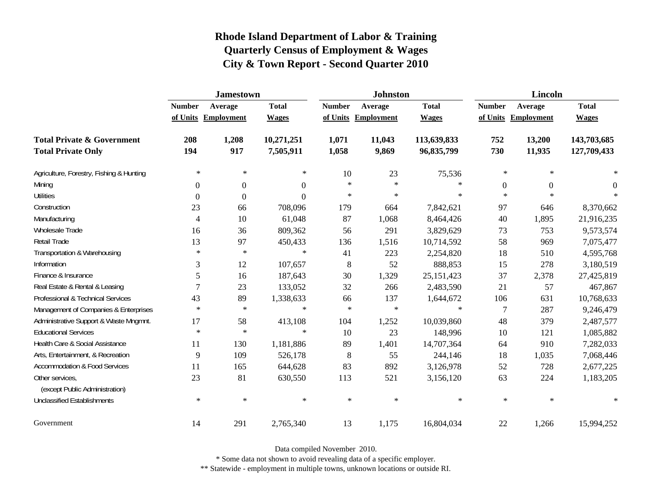|                                                   | <b>Jamestown</b> |                     |                  |                | <b>Johnston</b> |              | <b>Lincoln</b> |                     |              |
|---------------------------------------------------|------------------|---------------------|------------------|----------------|-----------------|--------------|----------------|---------------------|--------------|
|                                                   | <b>Number</b>    | Average             | <b>Total</b>     | <b>Number</b>  | Average         | <b>Total</b> | <b>Number</b>  | Average             | <b>Total</b> |
|                                                   |                  | of Units Employment | <b>Wages</b>     | of Units       | Employment      | <b>Wages</b> |                | of Units Employment | <b>Wages</b> |
| <b>Total Private &amp; Government</b>             | 208              | 1,208               | 10,271,251       | 1,071          | 11,043          | 113,639,833  | 752            | 13,200              | 143,703,685  |
| <b>Total Private Only</b>                         | 194              | 917                 | 7,505,911        | 1,058          | 9,869           | 96,835,799   | 730            | 11,935              | 127,709,433  |
| Agriculture, Forestry, Fishing & Hunting          | $\ast$           | $\ast$              | $\ast$           | 10             | 23              | 75,536       | $\ast$         | $\ast$              |              |
| Mining                                            | $\Omega$         | $\boldsymbol{0}$    | $\overline{0}$   | $\ast$         | $\ast$          | $\ast$       | $\theta$       | $\Omega$            | $\theta$     |
| <b>Utilities</b>                                  | $\mathbf{0}$     | $\boldsymbol{0}$    | $\boldsymbol{0}$ | $\ast$         | $\ast$          | $\ast$       | $\star$        | $\ast$              | $\ast$       |
| Construction                                      | 23               | 66                  | 708,096          | 179            | 664             | 7,842,621    | 97             | 646                 | 8,370,662    |
| Manufacturing                                     | 4                | 10                  | 61,048           | 87             | 1,068           | 8,464,426    | 40             | 1,895               | 21,916,235   |
| Wholesale Trade                                   | 16               | 36                  | 809,362          | 56             | 291             | 3,829,629    | 73             | 753                 | 9,573,574    |
| Retail Trade                                      | 13               | 97                  | 450,433          | 136            | 1,516           | 10,714,592   | 58             | 969                 | 7,075,477    |
| Transportation & Warehousing                      | $\ast$           | $\ast$              | $\ast$           | 41             | 223             | 2,254,820    | 18             | 510                 | 4,595,768    |
| Information                                       | 3                | 12                  | 107,657          | $8\phantom{1}$ | 52              | 888,853      | 15             | 278                 | 3,180,519    |
| Finance & Insurance                               | 5                | 16                  | 187,643          | 30             | 1,329           | 25, 151, 423 | 37             | 2,378               | 27,425,819   |
| Real Estate & Rental & Leasing                    | 7                | 23                  | 133,052          | 32             | 266             | 2,483,590    | 21             | 57                  | 467,867      |
| Professional & Technical Services                 | 43               | 89                  | 1,338,633        | 66             | 137             | 1,644,672    | 106            | 631                 | 10,768,633   |
| Management of Companies & Enterprises             | $\ast$           | $\ast$              | $\ast$           | $\ast$         | $\ast$          | $\ast$       | $\overline{7}$ | 287                 | 9,246,479    |
| Administrative Support & Waste Mngmnt.            | 17               | 58                  | 413,108          | 104            | 1,252           | 10,039,860   | 48             | 379                 | 2,487,577    |
| <b>Educational Services</b>                       | $\ast$           | $\ast$              | $\ast$           | 10             | 23              | 148,996      | 10             | 121                 | 1,085,882    |
| Health Care & Social Assistance                   | 11               | 130                 | 1,181,886        | 89             | 1,401           | 14,707,364   | 64             | 910                 | 7,282,033    |
| Arts, Entertainment, & Recreation                 | 9                | 109                 | 526,178          | 8              | 55              | 244,146      | 18             | 1,035               | 7,068,446    |
| <b>Accommodation &amp; Food Services</b>          | 11               | 165                 | 644,628          | 83             | 892             | 3,126,978    | 52             | 728                 | 2,677,225    |
| Other services,<br>(except Public Administration) | 23               | 81                  | 630,550          | 113            | 521             | 3,156,120    | 63             | 224                 | 1,183,205    |
| <b>Unclassified Establishments</b>                | $\ast$           | $\ast$              | $\ast$           | $\ast$         | $\ast$          | $\ast$       | $\ast$         | $\ast$              | $\ast$       |
| Government                                        | 14               | 291                 | 2,765,340        | 13             | 1,175           | 16,804,034   | 22             | 1,266               | 15,994,252   |

Data compiled November 2010.

\* Some data not shown to avoid revealing data of a specific employer.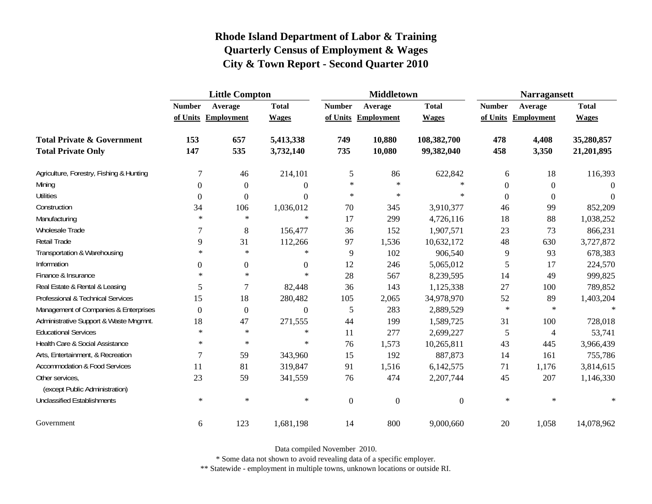|                                                   | <b>Little Compton</b> |                     |                  |                | <b>Middletown</b>   |              | <b>Narragansett</b> |                     |              |
|---------------------------------------------------|-----------------------|---------------------|------------------|----------------|---------------------|--------------|---------------------|---------------------|--------------|
|                                                   | <b>Number</b>         | Average             | <b>Total</b>     | <b>Number</b>  | Average             | <b>Total</b> | <b>Number</b>       | Average             | <b>Total</b> |
|                                                   |                       | of Units Employment | <b>Wages</b>     |                | of Units Employment | <b>Wages</b> |                     | of Units Employment | <b>Wages</b> |
| <b>Total Private &amp; Government</b>             | 153                   | 657                 | 5,413,338        | 749            | 10,880              | 108,382,700  | 478                 | 4,408               | 35,280,857   |
| <b>Total Private Only</b>                         | 147                   | 535                 | 3,732,140        | 735            | 10,080              | 99,382,040   | 458                 | 3,350               | 21,201,895   |
| Agriculture, Forestry, Fishing & Hunting          | $\tau$                | 46                  | 214,101          | 5              | 86                  | 622,842      | 6                   | 18                  | 116,393      |
| Mining                                            | 0                     | $\boldsymbol{0}$    | $\theta$         | $\ast$         | $\ast$              | $\ast$       | $\boldsymbol{0}$    | $\boldsymbol{0}$    | $\Omega$     |
| <b>Utilities</b>                                  | 0                     | $\mathbf{0}$        | $\overline{0}$   | $\ast$         | $\ast$              | $\ast$       | $\boldsymbol{0}$    | $\boldsymbol{0}$    | $\Omega$     |
| Construction                                      | 34                    | 106                 | 1,036,012        | 70             | 345                 | 3,910,377    | 46                  | 99                  | 852,209      |
| Manufacturing                                     | $\ast$                | $\ast$              | $\ast$           | 17             | 299                 | 4,726,116    | 18                  | 88                  | 1,038,252    |
| Wholesale Trade                                   | 7                     | 8                   | 156,477          | 36             | 152                 | 1,907,571    | 23                  | 73                  | 866,231      |
| Retail Trade                                      | 9                     | 31                  | 112,266          | 97             | 1,536               | 10,632,172   | 48                  | 630                 | 3,727,872    |
| Transportation & Warehousing                      | $\ast$                | $\ast$              | $\ast$           | 9              | 102                 | 906,540      | 9                   | 93                  | 678,383      |
| Information                                       | $\theta$              | $\boldsymbol{0}$    | $\boldsymbol{0}$ | 12             | 246                 | 5,065,012    | 5                   | 17                  | 224,570      |
| Finance & Insurance                               | $\ast$                | $\ast$              | $\ast$           | 28             | 567                 | 8,239,595    | 14                  | 49                  | 999,825      |
| Real Estate & Rental & Leasing                    | 5                     | 7                   | 82,448           | 36             | 143                 | 1,125,338    | 27                  | 100                 | 789,852      |
| Professional & Technical Services                 | 15                    | 18                  | 280,482          | 105            | 2,065               | 34,978,970   | 52                  | 89                  | 1,403,204    |
| Management of Companies & Enterprises             | $\Omega$              | $\mathbf{0}$        | $\mathbf{0}$     | 5              | 283                 | 2,889,529    | $\ast$              | $\ast$              | $\ast$       |
| Administrative Support & Waste Mngmnt.            | 18                    | 47                  | 271,555          | 44             | 199                 | 1,589,725    | 31                  | 100                 | 728,018      |
| <b>Educational Services</b>                       | $\ast$                | $\ast$              | $\ast$           | 11             | 277                 | 2,699,227    | 5                   | $\overline{4}$      | 53,741       |
| Health Care & Social Assistance                   | $\ast$                | $\ast$              | $\ast$           | 76             | 1,573               | 10,265,811   | 43                  | 445                 | 3,966,439    |
| Arts, Entertainment, & Recreation                 | $\overline{7}$        | 59                  | 343,960          | 15             | 192                 | 887,873      | 14                  | 161                 | 755,786      |
| <b>Accommodation &amp; Food Services</b>          | 11                    | 81                  | 319,847          | 91             | 1,516               | 6,142,575    | 71                  | 1,176               | 3,814,615    |
| Other services,<br>(except Public Administration) | 23                    | 59                  | 341,559          | 76             | 474                 | 2,207,744    | 45                  | 207                 | 1,146,330    |
| <b>Unclassified Establishments</b>                | $\ast$                | $\ast$              | $\ast$           | $\overline{0}$ | $\boldsymbol{0}$    | $\Omega$     | $\ast$              | $\ast$              | $\ast$       |
| Government                                        | 6                     | 123                 | 1,681,198        | 14             | 800                 | 9,000,660    | $20\,$              | 1,058               | 14,078,962   |

Data compiled November 2010.

\* Some data not shown to avoid revealing data of a specific employer.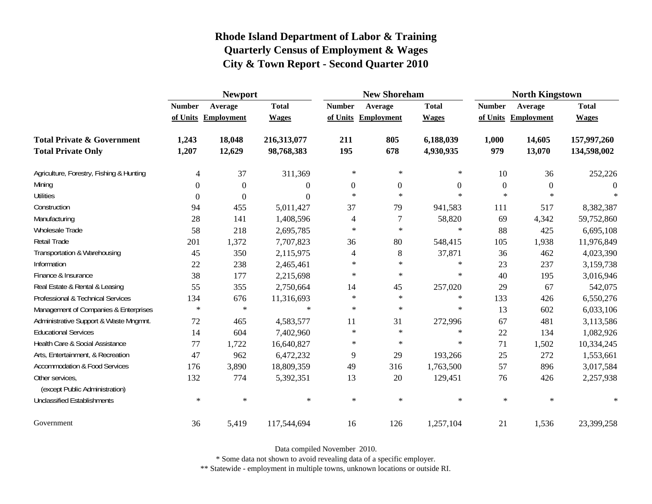|                                                   | <b>Newport</b> |                     |              |                     | <b>New Shoreham</b> |                | <b>North Kingstown</b> |                     |              |
|---------------------------------------------------|----------------|---------------------|--------------|---------------------|---------------------|----------------|------------------------|---------------------|--------------|
|                                                   | <b>Number</b>  | Average             | <b>Total</b> | <b>Number</b>       | Average             | <b>Total</b>   | <b>Number</b>          | Average             | <b>Total</b> |
|                                                   |                | of Units Employment | <b>Wages</b> | of Units Employment |                     | <b>Wages</b>   |                        | of Units Employment | <b>Wages</b> |
| <b>Total Private &amp; Government</b>             | 1,243          | 18,048              | 216,313,077  | 211                 | 805                 | 6,188,039      | 1,000                  | 14,605              | 157,997,260  |
| <b>Total Private Only</b>                         | 1,207          | 12,629              | 98,768,383   | 195                 | 678                 | 4,930,935      | 979                    | 13,070              | 134,598,002  |
| Agriculture, Forestry, Fishing & Hunting          | 4              | 37                  | 311,369      | $\ast$              | $\ast$              | $\ast$         | 10                     | 36                  | 252,226      |
| Mining                                            | $\Omega$       | $\Omega$            | $\Omega$     | $\theta$            | $\overline{0}$      | $\overline{0}$ | $\mathbf{0}$           | $\Omega$            | $\Omega$     |
| <b>Utilities</b>                                  | $\overline{0}$ | $\Omega$            | $\Omega$     | $\ast$              | $\ast$              | $\ast$         | $\ast$                 | $\ast$              |              |
| Construction                                      | 94             | 455                 | 5,011,427    | 37                  | 79                  | 941,583        | 111                    | 517                 | 8,382,387    |
| Manufacturing                                     | 28             | 141                 | 1,408,596    | 4                   | 7                   | 58,820         | 69                     | 4,342               | 59,752,860   |
| Wholesale Trade                                   | 58             | 218                 | 2,695,785    | $\ast$              | $\ast$              | $\ast$         | 88                     | 425                 | 6,695,108    |
| Retail Trade                                      | 201            | 1,372               | 7,707,823    | 36                  | 80                  | 548,415        | 105                    | 1,938               | 11,976,849   |
| Transportation & Warehousing                      | 45             | 350                 | 2,115,975    | 4                   | $\,8\,$             | 37,871         | 36                     | 462                 | 4,023,390    |
| Information                                       | 22             | 238                 | 2,465,461    | $\ast$              | $\ast$              | ∗              | 23                     | 237                 | 3,159,738    |
| Finance & Insurance                               | 38             | 177                 | 2,215,698    | $\ast$              | $\ast$              | $\ast$         | 40                     | 195                 | 3,016,946    |
| Real Estate & Rental & Leasing                    | 55             | 355                 | 2,750,664    | 14                  | 45                  | 257,020        | 29                     | 67                  | 542,075      |
| Professional & Technical Services                 | 134            | 676                 | 11,316,693   | $\ast$              | $\ast$              | $\ast$         | 133                    | 426                 | 6,550,276    |
| Management of Companies & Enterprises             | $\ast$         | $\ast$              | $\ast$       | $\ast$              | $\ast$              | $\ast$         | 13                     | 602                 | 6,033,106    |
| Administrative Support & Waste Mngmnt.            | 72             | 465                 | 4,583,577    | 11                  | 31                  | 272,996        | 67                     | 481                 | 3,113,586    |
| <b>Educational Services</b>                       | 14             | 604                 | 7,402,960    | $\ast$              | $\ast$              | $\ast$         | 22                     | 134                 | 1,082,926    |
| Health Care & Social Assistance                   | 77             | 1,722               | 16,640,827   | $\ast$              | $\ast$              | $\ast$         | 71                     | 1,502               | 10,334,245   |
| Arts, Entertainment, & Recreation                 | 47             | 962                 | 6,472,232    | 9                   | 29                  | 193,266        | 25                     | 272                 | 1,553,661    |
| <b>Accommodation &amp; Food Services</b>          | 176            | 3,890               | 18,809,359   | 49                  | 316                 | 1,763,500      | 57                     | 896                 | 3,017,584    |
| Other services,<br>(except Public Administration) | 132            | 774                 | 5,392,351    | 13                  | 20                  | 129,451        | 76                     | 426                 | 2,257,938    |
| <b>Unclassified Establishments</b>                | $\ast$         | $\ast$              | $\ast$       | $\ast$              | $\ast$              | $\ast$         | $\ast$                 | $\ast$              | $\ast$       |
| Government                                        | 36             | 5,419               | 117,544,694  | 16                  | 126                 | 1,257,104      | 21                     | 1,536               | 23,399,258   |

Data compiled November 2010.

\* Some data not shown to avoid revealing data of a specific employer.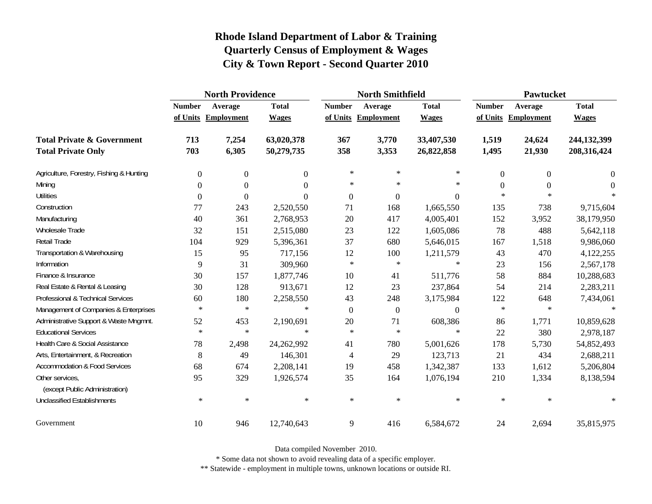|                                                   | <b>North Providence</b> |                     |                  |                | <b>North Smithfield</b> |              | <b>Pawtucket</b> |                     |              |
|---------------------------------------------------|-------------------------|---------------------|------------------|----------------|-------------------------|--------------|------------------|---------------------|--------------|
|                                                   | <b>Number</b>           | Average             | <b>Total</b>     | <b>Number</b>  | Average                 | <b>Total</b> | <b>Number</b>    | Average             | <b>Total</b> |
|                                                   |                         | of Units Employment | <b>Wages</b>     |                | of Units Employment     | <b>Wages</b> |                  | of Units Employment | <b>Wages</b> |
| <b>Total Private &amp; Government</b>             | 713                     | 7,254               | 63,020,378       | 367            | 3,770                   | 33,407,530   | 1,519            | 24,624              | 244,132,399  |
| <b>Total Private Only</b>                         | 703                     | 6,305               | 50,279,735       | 358            | 3,353                   | 26,822,858   | 1,495            | 21,930              | 208,316,424  |
| Agriculture, Forestry, Fishing & Hunting          | $\boldsymbol{0}$        | $\boldsymbol{0}$    | $\boldsymbol{0}$ | $\ast$         | ∗                       | $\ast$       | $\mathbf{0}$     | $\overline{0}$      | $\theta$     |
| Mining                                            | 0                       | $\theta$            | $\Omega$         | $\ast$         | $\ast$                  | $\ast$       | $\Omega$         | $\Omega$            | $\Omega$     |
| <b>Utilities</b>                                  | 0                       | $\theta$            | $\Omega$         | $\overline{0}$ | $\boldsymbol{0}$        | $\theta$     | $\ast$           | $\ast$              |              |
| Construction                                      | 77                      | 243                 | 2,520,550        | 71             | 168                     | 1,665,550    | 135              | 738                 | 9,715,604    |
| Manufacturing                                     | 40                      | 361                 | 2,768,953        | 20             | 417                     | 4,005,401    | 152              | 3,952               | 38,179,950   |
| <b>Wholesale Trade</b>                            | 32                      | 151                 | 2,515,080        | 23             | 122                     | 1,605,086    | 78               | 488                 | 5,642,118    |
| Retail Trade                                      | 104                     | 929                 | 5,396,361        | 37             | 680                     | 5,646,015    | 167              | 1,518               | 9,986,060    |
| Transportation & Warehousing                      | 15                      | 95                  | 717,156          | 12             | 100                     | 1,211,579    | 43               | 470                 | 4,122,255    |
| Information                                       | 9                       | 31                  | 309,960          | $\ast$         | $\ast$                  | $\ast$       | 23               | 156                 | 2,567,178    |
| Finance & Insurance                               | 30                      | 157                 | 1,877,746        | 10             | 41                      | 511,776      | 58               | 884                 | 10,288,683   |
| Real Estate & Rental & Leasing                    | 30                      | 128                 | 913,671          | 12             | 23                      | 237,864      | 54               | 214                 | 2,283,211    |
| Professional & Technical Services                 | 60                      | 180                 | 2,258,550        | 43             | 248                     | 3,175,984    | 122              | 648                 | 7,434,061    |
| Management of Companies & Enterprises             | $\ast$                  | $\ast$              | $\ast$           | $\theta$       | $\boldsymbol{0}$        | $\theta$     | $\ast$           | $\ast$              | $\ast$       |
| Administrative Support & Waste Mngmnt.            | 52                      | 453                 | 2,190,691        | $20\,$         | 71                      | 608,386      | 86               | 1,771               | 10,859,628   |
| <b>Educational Services</b>                       | $\ast$                  | $\ast$              | $\ast$           | $\ast$         | $\ast$                  | $\ast$       | 22               | 380                 | 2,978,187    |
| Health Care & Social Assistance                   | 78                      | 2,498               | 24,262,992       | 41             | 780                     | 5,001,626    | 178              | 5,730               | 54,852,493   |
| Arts, Entertainment, & Recreation                 | 8                       | 49                  | 146,301          | 4              | 29                      | 123,713      | 21               | 434                 | 2,688,211    |
| <b>Accommodation &amp; Food Services</b>          | 68                      | 674                 | 2,208,141        | 19             | 458                     | 1,342,387    | 133              | 1,612               | 5,206,804    |
| Other services,<br>(except Public Administration) | 95                      | 329                 | 1,926,574        | 35             | 164                     | 1,076,194    | 210              | 1,334               | 8,138,594    |
| <b>Unclassified Establishments</b>                | $\ast$                  | $\ast$              | $\ast$           | $\ast$         | $\ast$                  | $\ast$       | $\ast$           | $\ast$              | $\ast$       |
| Government                                        | 10                      | 946                 | 12,740,643       | 9              | 416                     | 6,584,672    | 24               | 2,694               | 35,815,975   |

Data compiled November 2010.

\* Some data not shown to avoid revealing data of a specific employer.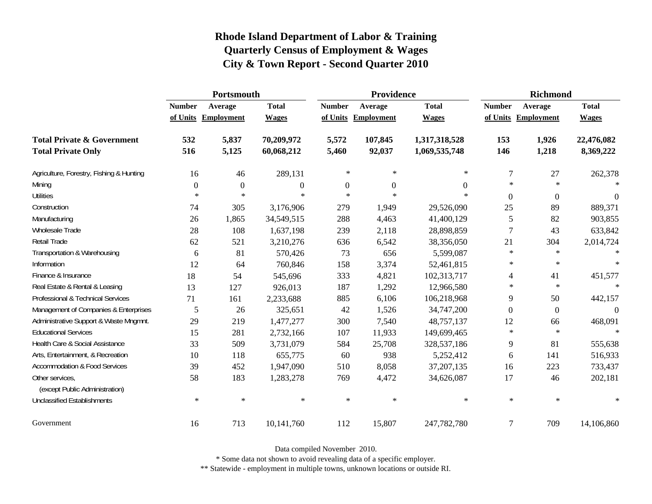|                                                   | Portsmouth    |                     |                  |               | <b>Providence</b> |               | <b>Richmond</b> |                     |              |
|---------------------------------------------------|---------------|---------------------|------------------|---------------|-------------------|---------------|-----------------|---------------------|--------------|
|                                                   | <b>Number</b> | Average             | <b>Total</b>     | <b>Number</b> | Average           | <b>Total</b>  | <b>Number</b>   | Average             | <b>Total</b> |
|                                                   |               | of Units Employment | <b>Wages</b>     | of Units      | Employment        | <b>Wages</b>  |                 | of Units Employment | <b>Wages</b> |
| <b>Total Private &amp; Government</b>             | 532           | 5,837               | 70,209,972       | 5,572         | 107,845           | 1,317,318,528 | 153             | 1,926               | 22,476,082   |
| <b>Total Private Only</b>                         | 516           | 5,125               | 60,068,212       | 5,460         | 92,037            | 1,069,535,748 | 146             | 1,218               | 8,369,222    |
| Agriculture, Forestry, Fishing & Hunting          | 16            | 46                  | 289,131          | $\ast$        | $\ast$            | $\ast$        | $\tau$          | 27                  | 262,378      |
| Mining                                            | $\Omega$      | $\mathbf{0}$        | $\boldsymbol{0}$ | $\mathbf{0}$  | $\Omega$          | $\Omega$      | $\ast$          | $\star$             |              |
| <b>Utilities</b>                                  | $\ast$        | $\ast$              | $\ast$           | $\ast$        | $\ast$            | $\ast$        | $\theta$        | $\mathbf{0}$        | $\theta$     |
| Construction                                      | 74            | 305                 | 3,176,906        | 279           | 1,949             | 29,526,090    | 25              | 89                  | 889,371      |
| Manufacturing                                     | 26            | 1,865               | 34,549,515       | 288           | 4,463             | 41,400,129    | 5               | 82                  | 903,855      |
| Wholesale Trade                                   | 28            | 108                 | 1,637,198        | 239           | 2,118             | 28,898,859    | 7               | 43                  | 633,842      |
| <b>Retail Trade</b>                               | 62            | 521                 | 3,210,276        | 636           | 6,542             | 38,356,050    | 21              | 304                 | 2,014,724    |
| Transportation & Warehousing                      | 6             | 81                  | 570,426          | 73            | 656               | 5,599,087     | $\ast$          | $\star$             | $\ast$       |
| Information                                       | 12            | 64                  | 760,846          | 158           | 3,374             | 52,461,815    | $\ast$          | $\ast$              | $\ast$       |
| Finance & Insurance                               | 18            | 54                  | 545,696          | 333           | 4,821             | 102,313,717   | 4               | 41                  | 451,577      |
| Real Estate & Rental & Leasing                    | 13            | 127                 | 926,013          | 187           | 1,292             | 12,966,580    | $\ast$          | $\star$             |              |
| Professional & Technical Services                 | 71            | 161                 | 2,233,688        | 885           | 6,106             | 106,218,968   | 9               | 50                  | 442,157      |
| Management of Companies & Enterprises             | 5             | 26                  | 325,651          | 42            | 1,526             | 34,747,200    | $\Omega$        | $\mathbf{0}$        | $\Omega$     |
| Administrative Support & Waste Mngmnt.            | 29            | 219                 | 1,477,277        | 300           | 7,540             | 48,757,137    | 12              | 66                  | 468,091      |
| <b>Educational Services</b>                       | 15            | 281                 | 2,732,166        | 107           | 11,933            | 149,699,465   | $\ast$          | $\ast$              |              |
| Health Care & Social Assistance                   | 33            | 509                 | 3,731,079        | 584           | 25,708            | 328,537,186   | 9               | 81                  | 555,638      |
| Arts, Entertainment, & Recreation                 | 10            | 118                 | 655,775          | 60            | 938               | 5,252,412     | 6               | 141                 | 516,933      |
| <b>Accommodation &amp; Food Services</b>          | 39            | 452                 | 1,947,090        | 510           | 8,058             | 37, 207, 135  | 16              | 223                 | 733,437      |
| Other services,<br>(except Public Administration) | 58            | 183                 | 1,283,278        | 769           | 4,472             | 34,626,087    | 17              | 46                  | 202,181      |
| <b>Unclassified Establishments</b>                | $\ast$        | $\ast$              | $\ast$           | $\ast$        | $\ast$            | $\ast$        | $\ast$          | $\ast$              | $\ast$       |
| Government                                        | 16            | 713                 | 10,141,760       | 112           | 15,807            | 247,782,780   | $\overline{7}$  | 709                 | 14,106,860   |

Data compiled November 2010.

\* Some data not shown to avoid revealing data of a specific employer.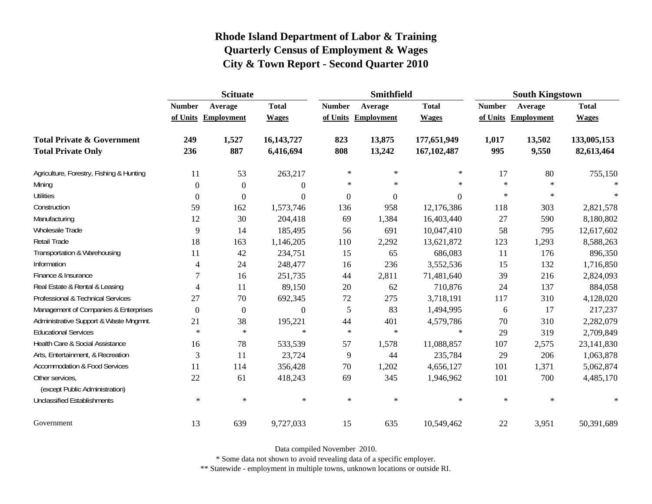|                                                   | <b>Scituate</b> |                     |                  |                  | <b>Smithfield</b> |                  | <b>South Kingstown</b> |                   |              |
|---------------------------------------------------|-----------------|---------------------|------------------|------------------|-------------------|------------------|------------------------|-------------------|--------------|
|                                                   | <b>Number</b>   | Average             | <b>Total</b>     | <b>Number</b>    | Average           | <b>Total</b>     | <b>Number</b>          | Average           | <b>Total</b> |
|                                                   |                 | of Units Employment | <b>Wages</b>     | of Units         | <b>Employment</b> | <b>Wages</b>     | of Units               | <b>Employment</b> | <b>Wages</b> |
| <b>Total Private &amp; Government</b>             | 249             | 1,527               | 16, 143, 727     | 823              | 13,875            | 177,651,949      | 1,017                  | 13,502            | 133,005,153  |
| <b>Total Private Only</b>                         | 236             | 887                 | 6,416,694        | 808              | 13,242            | 167, 102, 487    | 995                    | 9,550             | 82,613,464   |
| Agriculture, Forestry, Fishing & Hunting          | 11              | 53                  | 263,217          | $\ast$           | $\ast$            | $\ast$           | 17                     | 80                | 755,150      |
| Mining                                            | $\Omega$        | $\mathbf{0}$        | $\boldsymbol{0}$ | $\ast$           | $\ast$            | $\ast$           | $\ast$                 | $\star$           | $\ast$       |
| <b>Utilities</b>                                  | $\mathbf{0}$    | $\boldsymbol{0}$    | $\boldsymbol{0}$ | $\boldsymbol{0}$ | $\boldsymbol{0}$  | $\boldsymbol{0}$ | $\ast$                 | $\ast$            | $\ast$       |
| Construction                                      | 59              | 162                 | 1,573,746        | 136              | 958               | 12,176,386       | 118                    | 303               | 2,821,578    |
| Manufacturing                                     | 12              | 30                  | 204,418          | 69               | 1,384             | 16,403,440       | 27                     | 590               | 8,180,802    |
| Wholesale Trade                                   | 9               | 14                  | 185,495          | 56               | 691               | 10,047,410       | 58                     | 795               | 12,617,602   |
| Retail Trade                                      | 18              | 163                 | 1,146,205        | 110              | 2,292             | 13,621,872       | 123                    | 1,293             | 8,588,263    |
| Transportation & Warehousing                      | 11              | 42                  | 234,751          | 15               | 65                | 686,083          | 11                     | 176               | 896,350      |
| Information                                       | 4               | 24                  | 248,477          | 16               | 236               | 3,552,536        | 15                     | 132               | 1,716,850    |
| Finance & Insurance                               | 7               | 16                  | 251,735          | 44               | 2,811             | 71,481,640       | 39                     | 216               | 2,824,093    |
| Real Estate & Rental & Leasing                    | 4               | 11                  | 89,150           | 20               | 62                | 710,876          | 24                     | 137               | 884,058      |
| Professional & Technical Services                 | 27              | 70                  | 692,345          | $72\,$           | 275               | 3,718,191        | 117                    | 310               | 4,128,020    |
| Management of Companies & Enterprises             | $\Omega$        | $\boldsymbol{0}$    | $\Omega$         | 5                | 83                | 1,494,995        | 6                      | 17                | 217,237      |
| Administrative Support & Waste Mngmnt.            | 21              | 38                  | 195,221          | 44               | 401               | 4,579,786        | 70                     | 310               | 2,282,079    |
| <b>Educational Services</b>                       | $\ast$          | $\ast$              | $\ast$           | $\ast$           | $\ast$            | $\ast$           | 29                     | 319               | 2,709,849    |
| Health Care & Social Assistance                   | 16              | 78                  | 533,539          | 57               | 1,578             | 11,088,857       | 107                    | 2,575             | 23,141,830   |
| Arts, Entertainment, & Recreation                 | 3               | 11                  | 23,724           | 9                | 44                | 235,784          | 29                     | 206               | 1,063,878    |
| <b>Accommodation &amp; Food Services</b>          | <sup>11</sup>   | 114                 | 356,428          | 70               | 1,202             | 4,656,127        | 101                    | 1,371             | 5,062,874    |
| Other services,<br>(except Public Administration) | 22              | 61                  | 418,243          | 69               | 345               | 1,946,962        | 101                    | 700               | 4,485,170    |
| <b>Unclassified Establishments</b>                | $\ast$          | $\ast$              | $\ast$           | $\ast$           | $\ast$            | $\ast$           | $\ast$                 | $\ast$            | $\ast$       |
| Government                                        | 13              | 639                 | 9,727,033        | 15               | 635               | 10,549,462       | 22                     | 3,951             | 50,391,689   |

Data compiled November 2010.

\* Some data not shown to avoid revealing data of a specific employer.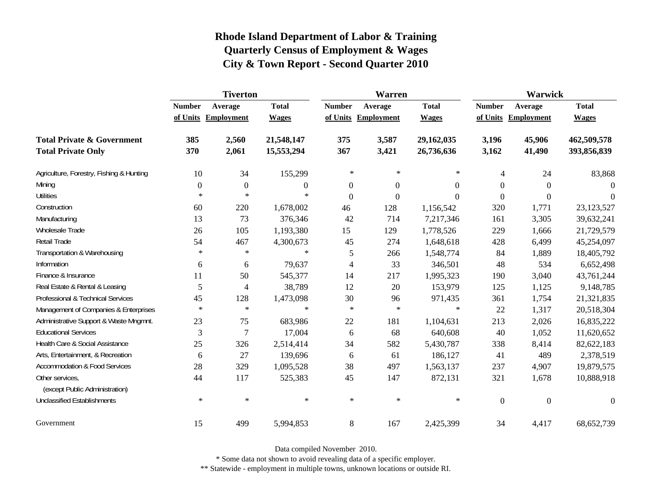|                                                   | <b>Tiverton</b>  |                     |                |                | Warren              |                | Warwick        |                     |              |  |
|---------------------------------------------------|------------------|---------------------|----------------|----------------|---------------------|----------------|----------------|---------------------|--------------|--|
|                                                   | <b>Number</b>    | Average             | <b>Total</b>   | <b>Number</b>  | Average             | <b>Total</b>   | <b>Number</b>  | Average             | <b>Total</b> |  |
|                                                   |                  | of Units Employment | <b>Wages</b>   |                | of Units Employment | <b>Wages</b>   |                | of Units Employment | <b>Wages</b> |  |
| <b>Total Private &amp; Government</b>             | 385              | 2,560               | 21,548,147     | 375            | 3,587               | 29,162,035     | 3,196          | 45,906              | 462,509,578  |  |
| <b>Total Private Only</b>                         | 370              | 2,061               | 15,553,294     | 367            | 3,421               | 26,736,636     | 3,162          | 41,490              | 393,856,839  |  |
| Agriculture, Forestry, Fishing & Hunting          | 10               | 34                  | 155,299        | $\ast$         | ∗                   | $\ast$         | 4              | 24                  | 83,868       |  |
| Mining                                            | $\boldsymbol{0}$ | $\overline{0}$      | $\overline{0}$ | $\mathbf{0}$   | $\boldsymbol{0}$    | $\theta$       | $\theta$       | $\theta$            | $\Omega$     |  |
| <b>Utilities</b>                                  | $\ast$           | $\ast$              | $\ast$         | $\overline{0}$ | $\boldsymbol{0}$    | $\overline{0}$ | $\overline{0}$ | $\overline{0}$      | $\Omega$     |  |
| Construction                                      | 60               | 220                 | 1,678,002      | 46             | 128                 | 1,156,542      | 320            | 1,771               | 23,123,527   |  |
| Manufacturing                                     | 13               | 73                  | 376,346        | 42             | 714                 | 7,217,346      | 161            | 3,305               | 39,632,241   |  |
| Wholesale Trade                                   | 26               | 105                 | 1,193,380      | 15             | 129                 | 1,778,526      | 229            | 1,666               | 21,729,579   |  |
| Retail Trade                                      | 54               | 467                 | 4,300,673      | 45             | 274                 | 1,648,618      | 428            | 6,499               | 45,254,097   |  |
| Transportation & Warehousing                      | $\ast$           | $\ast$              | $\ast$         | 5              | 266                 | 1,548,774      | 84             | 1,889               | 18,405,792   |  |
| Information                                       | 6                | 6                   | 79,637         | 4              | 33                  | 346,501        | 48             | 534                 | 6,652,498    |  |
| Finance & Insurance                               | 11               | 50                  | 545,377        | 14             | 217                 | 1,995,323      | 190            | 3,040               | 43,761,244   |  |
| Real Estate & Rental & Leasing                    | 5                | 4                   | 38,789         | 12             | 20                  | 153,979        | 125            | 1,125               | 9,148,785    |  |
| Professional & Technical Services                 | 45               | 128                 | 1,473,098      | 30             | 96                  | 971,435        | 361            | 1,754               | 21,321,835   |  |
| Management of Companies & Enterprises             | $\ast$           | $\ast$              | $\ast$         | $\ast$         | $\ast$              | $\ast$         | 22             | 1,317               | 20,518,304   |  |
| Administrative Support & Waste Mngmnt.            | 23               | 75                  | 683,986        | 22             | 181                 | 1,104,631      | 213            | 2,026               | 16,835,222   |  |
| <b>Educational Services</b>                       | 3                | 7                   | 17,004         | 6              | 68                  | 640,608        | 40             | 1,052               | 11,620,652   |  |
| Health Care & Social Assistance                   | 25               | 326                 | 2,514,414      | 34             | 582                 | 5,430,787      | 338            | 8,414               | 82,622,183   |  |
| Arts, Entertainment, & Recreation                 | 6                | 27                  | 139,696        | 6              | 61                  | 186,127        | 41             | 489                 | 2,378,519    |  |
| <b>Accommodation &amp; Food Services</b>          | 28               | 329                 | 1,095,528      | 38             | 497                 | 1,563,137      | 237            | 4,907               | 19,879,575   |  |
| Other services,<br>(except Public Administration) | 44               | 117                 | 525,383        | 45             | 147                 | 872,131        | 321            | 1,678               | 10,888,918   |  |
| <b>Unclassified Establishments</b>                | $\ast$           | $\ast$              | $\ast$         | $\ast$         | $\ast$              | $\ast$         | $\theta$       | $\boldsymbol{0}$    | $\theta$     |  |
| Government                                        | 15               | 499                 | 5,994,853      | 8              | 167                 | 2,425,399      | 34             | 4,417               | 68,652,739   |  |

Data compiled November 2010.

\* Some data not shown to avoid revealing data of a specific employer.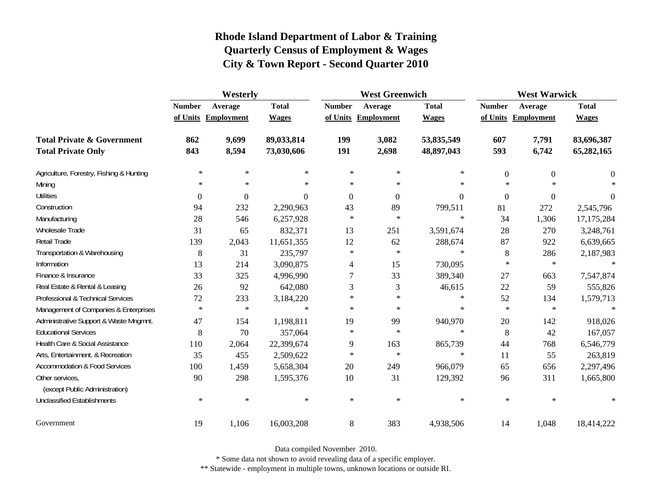|                                                   | Westerly       |                     |              |                  | <b>West Greenwich</b> |                  |                  | <b>West Warwick</b> |              |  |
|---------------------------------------------------|----------------|---------------------|--------------|------------------|-----------------------|------------------|------------------|---------------------|--------------|--|
|                                                   | <b>Number</b>  | Average             | <b>Total</b> | <b>Number</b>    | Average               | <b>Total</b>     | <b>Number</b>    | Average             | <b>Total</b> |  |
|                                                   |                | of Units Employment | <b>Wages</b> |                  | of Units Employment   | <b>Wages</b>     |                  | of Units Employment | <b>Wages</b> |  |
| <b>Total Private &amp; Government</b>             | 862            | 9,699               | 89,033,814   | 199              | 3,082                 | 53,835,549       | 607              | 7,791               | 83,696,387   |  |
| <b>Total Private Only</b>                         | 843            | 8,594               | 73,030,606   | 191              | 2,698                 | 48,897,043       | 593              | 6,742               | 65,282,165   |  |
| Agriculture, Forestry, Fishing & Hunting          | $\ast$         | $\ast$              | $\ast$       | $\ast$           | $\ast$                | $\ast$           | $\overline{0}$   | $\overline{0}$      | $\theta$     |  |
| Mining                                            | $\ast$         | $\ast$              | $\ast$       | $\ast$           | $\ast$                | $\ast$           | $\ast$           | $\star$             | $\ast$       |  |
| <b>Utilities</b>                                  | $\overline{0}$ | $\mathbf{0}$        | $\mathbf{0}$ | $\boldsymbol{0}$ | $\boldsymbol{0}$      | $\boldsymbol{0}$ | $\boldsymbol{0}$ | $\boldsymbol{0}$    | $\theta$     |  |
| Construction                                      | 94             | 232                 | 2,290,963    | 43               | 89                    | 799,511          | 81               | 272                 | 2,545,796    |  |
| Manufacturing                                     | 28             | 546                 | 6,257,928    | $\ast$           | $\ast$                | $\ast$           | 34               | 1,306               | 17, 175, 284 |  |
| Wholesale Trade                                   | 31             | 65                  | 832,371      | 13               | 251                   | 3,591,674        | 28               | 270                 | 3,248,761    |  |
| Retail Trade                                      | 139            | 2,043               | 11,651,355   | 12               | 62                    | 288,674          | 87               | 922                 | 6,639,665    |  |
| Transportation & Warehousing                      | 8              | 31                  | 235,797      | $\ast$           | $\ast$                | $\ast$           | $\, 8$           | 286                 | 2,187,983    |  |
| Information                                       | 13             | 214                 | 3,090,875    | 4                | 15                    | 730,095          | $\ast$           | $\ast$              | $\ast$       |  |
| Finance & Insurance                               | 33             | 325                 | 4,996,990    | $\tau$           | 33                    | 389,340          | 27               | 663                 | 7,547,874    |  |
| Real Estate & Rental & Leasing                    | 26             | 92                  | 642,080      | 3                | 3                     | 46,615           | 22               | 59                  | 555,826      |  |
| Professional & Technical Services                 | 72             | 233                 | 3,184,220    | $\ast$           | $\ast$                | $\ast$           | 52               | 134                 | 1,579,713    |  |
| Management of Companies & Enterprises             | $\ast$         | $\ast$              | $\ast$       | $\ast$           | $\ast$                | $\ast$           | $\ast$           | $\ast$              | $\ast$       |  |
| Administrative Support & Waste Mngmnt.            | 47             | 154                 | 1,198,811    | 19               | 99                    | 940,970          | 20               | 142                 | 918,026      |  |
| <b>Educational Services</b>                       | 8              | 70                  | 357,064      | $\ast$           | $\ast$                | $\ast$           | 8                | 42                  | 167,057      |  |
| Health Care & Social Assistance                   | 110            | 2,064               | 22,399,674   | 9                | 163                   | 865,739          | 44               | 768                 | 6,546,779    |  |
| Arts, Entertainment, & Recreation                 | 35             | 455                 | 2,509,622    | $\ast$           | $\ast$                | $\ast$           | 11               | 55                  | 263,819      |  |
| <b>Accommodation &amp; Food Services</b>          | 100            | 1,459               | 5,658,304    | $20\,$           | 249                   | 966,079          | 65               | 656                 | 2,297,496    |  |
| Other services,<br>(except Public Administration) | 90             | 298                 | 1,595,376    | 10               | 31                    | 129,392          | 96               | 311                 | 1,665,800    |  |
| <b>Unclassified Establishments</b>                | $\ast$         | $\ast$              | $\ast$       | $\ast$           | $\ast$                | $\ast$           | $\ast$           | $\ast$              | $\ast$       |  |
| Government                                        | 19             | 1,106               | 16,003,208   | $\,8\,$          | 383                   | 4,938,506        | 14               | 1,048               | 18,414,222   |  |

Data compiled November 2010.

\* Some data not shown to avoid revealing data of a specific employer.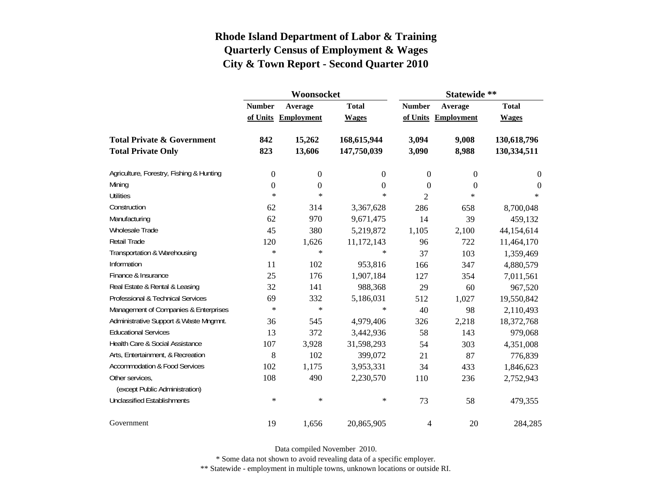|                                          |                  | Woonsocket        |                  | Statewide **     |                   |                  |  |
|------------------------------------------|------------------|-------------------|------------------|------------------|-------------------|------------------|--|
|                                          | <b>Number</b>    | Average           | <b>Total</b>     | <b>Number</b>    | Average           | <b>Total</b>     |  |
|                                          | of Units         | <b>Employment</b> | <b>Wages</b>     | of Units         | <b>Employment</b> | <b>Wages</b>     |  |
| <b>Total Private &amp; Government</b>    | 842              | 15,262            | 168,615,944      | 3,094            | 9,008             | 130,618,796      |  |
| <b>Total Private Only</b>                | 823              | 13,606            | 147,750,039      | 3,090            | 8,988             | 130,334,511      |  |
| Agriculture, Forestry, Fishing & Hunting | $\boldsymbol{0}$ | $\boldsymbol{0}$  | 0                | $\boldsymbol{0}$ | $\mathbf{0}$      | $\boldsymbol{0}$ |  |
| Mining                                   | $\boldsymbol{0}$ | $\boldsymbol{0}$  | $\boldsymbol{0}$ | $\theta$         | $\theta$          | $\theta$         |  |
| <b>Utilities</b>                         | $\ast$           | $\ast$            | $\ast$           | 2                | $\ast$            | $*$              |  |
| Construction                             | 62               | 314               | 3,367,628        | 286              | 658               | 8,700,048        |  |
| Manufacturing                            | 62               | 970               | 9,671,475        | 14               | 39                | 459,132          |  |
| <b>Wholesale Trade</b>                   | 45               | 380               | 5,219,872        | 1,105            | 2,100             | 44,154,614       |  |
| <b>Retail Trade</b>                      | 120              | 1,626             | 11,172,143       | 96               | 722               | 11,464,170       |  |
| Transportation & Warehousing             | $\ast$           | $\ast$            | $\ast$           | 37               | 103               | 1,359,469        |  |
| Information                              | 11               | 102               | 953,816          | 166              | 347               | 4,880,579        |  |
| Finance & Insurance                      | 25               | 176               | 1,907,184        | 127              | 354               | 7,011,561        |  |
| Real Estate & Rental & Leasing           | 32               | 141               | 988,368          | 29               | 60                | 967,520          |  |
| Professional & Technical Services        | 69               | 332               | 5,186,031        | 512              | 1,027             | 19,550,842       |  |
| Management of Companies & Enterprises    | $\ast$           | $\ast$            | $\ast$           | 40               | 98                | 2,110,493        |  |
| Administrative Support & Waste Mngmnt.   | 36               | 545               | 4,979,406        | 326              | 2,218             | 18,372,768       |  |
| <b>Educational Services</b>              | 13               | 372               | 3,442,936        | 58               | 143               | 979,068          |  |
| Health Care & Social Assistance          | 107              | 3,928             | 31,598,293       | 54               | 303               | 4,351,008        |  |
| Arts, Entertainment, & Recreation        | 8                | 102               | 399,072          | 21               | 87                | 776,839          |  |
| <b>Accommodation &amp; Food Services</b> | 102              | 1,175             | 3,953,331        | 34               | 433               | 1,846,623        |  |
| Other services,                          | 108              | 490               | 2,230,570        | 110              | 236               | 2,752,943        |  |
| (except Public Administration)           |                  |                   |                  |                  |                   |                  |  |
| <b>Unclassified Establishments</b>       | $\ast$           | $\ast$            | $\ast$           | 73               | 58                | 479,355          |  |
| Government                               | 19               | 1,656             | 20,865,905       | 4                | 20                | 284,285          |  |

Data compiled November 2010.

\* Some data not shown to avoid revealing data of a specific employer.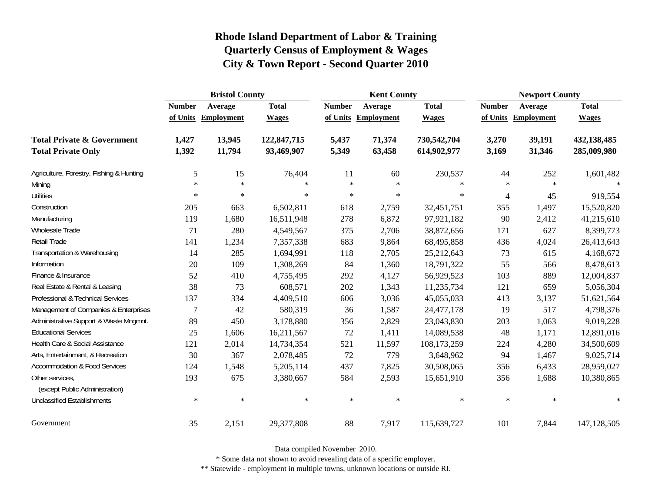|                                                   | <b>Bristol County</b> |                   |              |               | <b>Kent County</b> |              | <b>Newport County</b> |                     |              |
|---------------------------------------------------|-----------------------|-------------------|--------------|---------------|--------------------|--------------|-----------------------|---------------------|--------------|
|                                                   | <b>Number</b>         | Average           | <b>Total</b> | <b>Number</b> | Average            | <b>Total</b> | <b>Number</b>         | Average             | <b>Total</b> |
|                                                   | of Units              | <b>Employment</b> | <b>Wages</b> | of Units      | <b>Employment</b>  | <b>Wages</b> |                       | of Units Employment | <b>Wages</b> |
| <b>Total Private &amp; Government</b>             | 1,427                 | 13,945            | 122,847,715  | 5,437         | 71,374             | 730,542,704  | 3,270                 | 39,191              | 432,138,485  |
| <b>Total Private Only</b>                         | 1,392                 | 11,794            | 93,469,907   | 5,349         | 63,458             | 614,902,977  | 3,169                 | 31,346              | 285,009,980  |
| Agriculture, Forestry, Fishing & Hunting          | 5                     | 15                | 76,404       | 11            | 60                 | 230,537      | 44                    | 252                 | 1,601,482    |
| Mining                                            | $\ast$                | $\ast$            | $\ast$       | $\ast$        | $\ast$             | $\ast$       | $\ast$                | $\ast$              | $\ast$       |
| <b>Utilities</b>                                  | $\ast$                | $\ast$            | $\ast$       | $\ast$        | $\ast$             | $\ast$       | $\overline{4}$        | 45                  | 919,554      |
| Construction                                      | 205                   | 663               | 6,502,811    | 618           | 2,759              | 32,451,751   | 355                   | 1,497               | 15,520,820   |
| Manufacturing                                     | 119                   | 1,680             | 16,511,948   | 278           | 6,872              | 97,921,182   | 90                    | 2,412               | 41,215,610   |
| Wholesale Trade                                   | 71                    | 280               | 4,549,567    | 375           | 2,706              | 38,872,656   | 171                   | 627                 | 8,399,773    |
| <b>Retail Trade</b>                               | 141                   | 1,234             | 7,357,338    | 683           | 9,864              | 68,495,858   | 436                   | 4,024               | 26,413,643   |
| Transportation & Warehousing                      | 14                    | 285               | 1,694,991    | 118           | 2,705              | 25,212,643   | 73                    | 615                 | 4,168,672    |
| Information                                       | 20                    | 109               | 1,308,269    | 84            | 1,360              | 18,791,322   | 55                    | 566                 | 8,478,613    |
| Finance & Insurance                               | 52                    | 410               | 4,755,495    | 292           | 4,127              | 56,929,523   | 103                   | 889                 | 12,004,837   |
| Real Estate & Rental & Leasing                    | 38                    | 73                | 608,571      | 202           | 1,343              | 11,235,734   | 121                   | 659                 | 5,056,304    |
| Professional & Technical Services                 | 137                   | 334               | 4,409,510    | 606           | 3,036              | 45,055,033   | 413                   | 3,137               | 51,621,564   |
| Management of Companies & Enterprises             | 7                     | 42                | 580,319      | 36            | 1,587              | 24,477,178   | 19                    | 517                 | 4,798,376    |
| Administrative Support & Waste Mngmnt.            | 89                    | 450               | 3,178,880    | 356           | 2,829              | 23,043,830   | 203                   | 1,063               | 9,019,228    |
| <b>Educational Services</b>                       | 25                    | 1,606             | 16,211,567   | 72            | 1,411              | 14,089,538   | 48                    | 1,171               | 12,891,016   |
| Health Care & Social Assistance                   | 121                   | 2,014             | 14,734,354   | 521           | 11,597             | 108,173,259  | 224                   | 4,280               | 34,500,609   |
| Arts, Entertainment, & Recreation                 | 30                    | 367               | 2,078,485    | $72\,$        | 779                | 3,648,962    | 94                    | 1,467               | 9,025,714    |
| <b>Accommodation &amp; Food Services</b>          | 124                   | 1,548             | 5,205,114    | 437           | 7,825              | 30,508,065   | 356                   | 6,433               | 28,959,027   |
| Other services,<br>(except Public Administration) | 193                   | 675               | 3,380,667    | 584           | 2,593              | 15,651,910   | 356                   | 1,688               | 10,380,865   |
| <b>Unclassified Establishments</b>                | $\ast$                | $\ast$            | $\ast$       | $\ast$        | $\ast$             | $\ast$       | $\ast$                | $\ast$              | $\ast$       |
| Government                                        | 35                    | 2,151             | 29,377,808   | 88            | 7,917              | 115,639,727  | 101                   | 7,844               | 147,128,505  |

Data compiled November 2010.

\* Some data not shown to avoid revealing data of a specific employer.